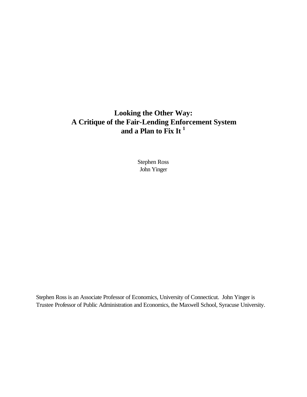# **Looking the Other Way: A Critique of the Fair-Lending Enforcement System and a Plan to Fix It <sup>1</sup>**

Stephen Ross John Yinger

Stephen Ross is an Associate Professor of Economics, University of Connecticut. John Yinger is Trustee Professor of Public Administration and Economics, the Maxwell School, Syracuse University.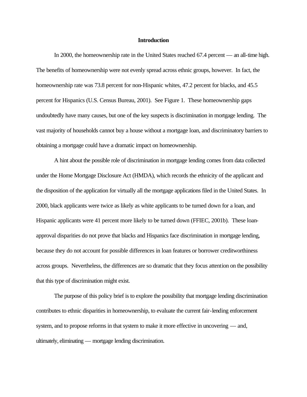#### **Introduction**

In 2000, the homeownership rate in the United States reached 67.4 percent — an all-time high. The benefits of homeownership were not evenly spread across ethnic groups, however. In fact, the homeownership rate was 73.8 percent for non-Hispanic whites, 47.2 percent for blacks, and 45.5 percent for Hispanics (U.S. Census Bureau, 2001). See Figure 1. These homeownership gaps undoubtedly have many causes, but one of the key suspects is discrimination in mortgage lending. The vast majority of households cannot buy a house without a mortgage loan, and discriminatory barriers to obtaining a mortgage could have a dramatic impact on homeownership.

A hint about the possible role of discrimination in mortgage lending comes from data collected under the Home Mortgage Disclosure Act (HMDA), which records the ethnicity of the applicant and the disposition of the application for virtually all the mortgage applications filed in the United States. In 2000, black applicants were twice as likely as white applicants to be turned down for a loan, and Hispanic applicants were 41 percent more likely to be turned down (FFIEC, 2001b). These loanapproval disparities do not prove that blacks and Hispanics face discrimination in mortgage lending, because they do not account for possible differences in loan features or borrower creditworthiness across groups. Nevertheless, the differences are so dramatic that they focus attention on the possibility that this type of discrimination might exist.

The purpose of this policy brief is to explore the possibility that mortgage lending discrimination contributes to ethnic disparities in homeownership, to evaluate the current fair-lending enforcement system, and to propose reforms in that system to make it more effective in uncovering — and, ultimately, eliminating — mortgage lending discrimination.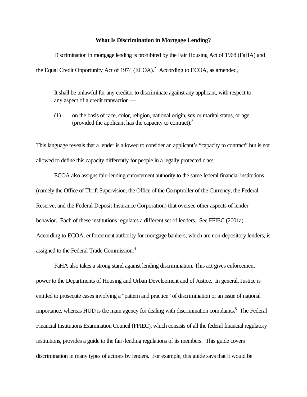## **What Is Discrimination in Mortgage Lending?**

Discrimination in mortgage lending is prohibited by the Fair Housing Act of 1968 (FaHA) and the Equal Credit Opportunity Act of 1974  $(ECOA)$ .<sup>2</sup> According to ECOA, as amended,

It shall be unlawful for any creditor to discriminate against any applicant, with respect to any aspect of a credit transaction —

(1) on the basis of race, color, religion, national origin, sex or marital status, or age (provided the applicant has the capacity to contract).<sup>3</sup>

This language reveals that a lender is allowed to consider an applicant's "capacity to contract" but is not allowed to define this capacity differently for people in a legally protected class.

ECOA also assigns fair-lending enforcement authority to the same federal financial institutions (namely the Office of Thrift Supervision, the Office of the Comptroller of the Currency, the Federal Reserve, and the Federal Deposit Insurance Corporation) that oversee other aspects of lender behavior. Each of these institutions regulates a different set of lenders. See FFIEC (2001a). According to ECOA, enforcement authority for mortgage bankers, which are non-depository lenders, is assigned to the Federal Trade Commission.<sup>4</sup>

FaHA also takes a strong stand against lending discrimination. This act gives enforcement power to the Departments of Housing and Urban Development and of Justice. In general, Justice is entitled to prosecute cases involving a "pattern and practice" of discrimination or an issue of national importance, whereas HUD is the main agency for dealing with discrimination complaints.<sup>5</sup> The Federal Financial Institutions Examination Council (FFIEC), which consists of all the federal financial regulatory institutions, provides a guide to the fair-lending regulations of its members. This guide covers discrimination in many types of actions by lenders. For example, this guide says that it would be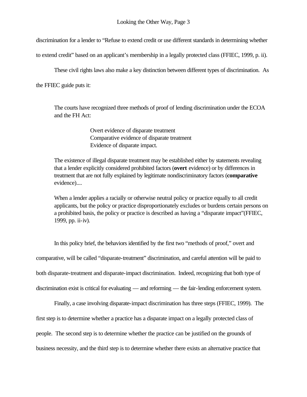discrimination for a lender to "Refuse to extend credit or use different standards in determining whether

to extend credit" based on an applicant's membership in a legally protected class (FFIEC, 1999, p. ii).

These civil rights laws also make a key distinction between different types of discrimination. As

the FFIEC guide puts it:

The courts have recognized three methods of proof of lending discrimination under the ECOA and the FH Act:

> Overt evidence of disparate treatment Comparative evidence of disparate treatment Evidence of disparate impact.

The existence of illegal disparate treatment may be established either by statements revealing that a lender explicitly considered prohibited factors (**overt** evidence) or by differences in treatment that are not fully explained by legitimate nondiscriminatory factors (**comparative** evidence)....

When a lender applies a racially or otherwise neutral policy or practice equally to all credit applicants, but the policy or practice disproportionately excludes or burdens certain persons on a prohibited basis, the policy or practice is described as having a "disparate impact"(FFIEC, 1999, pp. ii-iv).

In this policy brief, the behaviors identified by the first two "methods of proof," overt and comparative, will be called "disparate-treatment" discrimination, and careful attention will be paid to both disparate-treatment and disparate-impact discrimination. Indeed, recognizing that both type of discrimination exist is critical for evaluating — and reforming — the fair-lending enforcement system.

Finally, a case involving disparate-impact discrimination has three steps (FFIEC, 1999). The first step is to determine whether a practice has a disparate impact on a legally protected class of people. The second step is to determine whether the practice can be justified on the grounds of business necessity, and the third step is to determine whether there exists an alternative practice that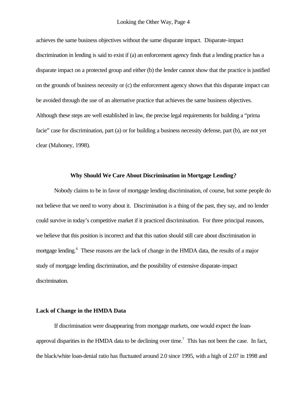achieves the same business objectives without the same disparate impact. Disparate-impact discrimination in lending is said to exist if (a) an enforcement agency finds that a lending practice has a disparate impact on a protected group and either (b) the lender cannot show that the practice is justified on the grounds of business necessity or (c) the enforcement agency shows that this disparate impact can be avoided through the use of an alternative practice that achieves the same business objectives. Although these steps are well established in law, the precise legal requirements for building a "prima facie" case for discrimination, part (a) or for building a business necessity defense, part (b), are not yet clear (Mahoney, 1998).

## **Why Should We Care About Discrimination in Mortgage Lending?**

Nobody claims to be in favor of mortgage lending discrimination, of course, but some people do not believe that we need to worry about it. Discrimination is a thing of the past, they say, and no lender could survive in today's competitive market if it practiced discrimination. For three principal reasons, we believe that this position is incorrect and that this nation should still care about discrimination in mortgage lending.<sup>6</sup> These reasons are the lack of change in the HMDA data, the results of a major study of mortgage lending discrimination, and the possibility of extensive disparate-impact discrimination.

#### **Lack of Change in the HMDA Data**

If discrimination were disappearing from mortgage markets, one would expect the loanapproval disparities in the HMDA data to be declining over time.<sup>7</sup> This has not been the case. In fact, the black/white loan-denial ratio has fluctuated around 2.0 since 1995, with a high of 2.07 in 1998 and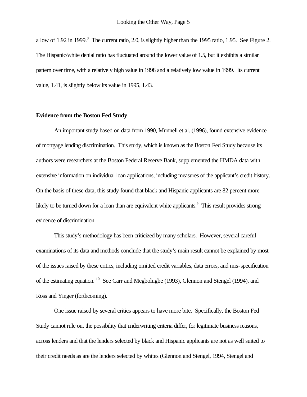a low of 1.92 in 1999.<sup>8</sup> The current ratio, 2.0, is slightly higher than the 1995 ratio, 1.95. See Figure 2. The Hispanic/white denial ratio has fluctuated around the lower value of 1.5, but it exhibits a similar pattern over time, with a relatively high value in 1998 and a relatively low value in 1999. Its current value, 1.41, is slightly below its value in 1995, 1.43.

# **Evidence from the Boston Fed Study**

An important study based on data from 1990, Munnell et al. (1996), found extensive evidence of mortgage lending discrimination. This study, which is known as the Boston Fed Study because its authors were researchers at the Boston Federal Reserve Bank, supplemented the HMDA data with extensive information on individual loan applications, including measures of the applicant's credit history. On the basis of these data, this study found that black and Hispanic applicants are 82 percent more likely to be turned down for a loan than are equivalent white applicants.<sup>9</sup> This result provides strong evidence of discrimination.

This study's methodology has been criticized by many scholars. However, several careful examinations of its data and methods conclude that the study's main result cannot be explained by most of the issues raised by these critics, including omitted credit variables, data errors, and mis-specification of the estimating equation. <sup>10</sup> See Carr and Megbolugbe (1993), Glennon and Stengel (1994), and Ross and Yinger (forthcoming).

One issue raised by several critics appears to have more bite. Specifically, the Boston Fed Study cannot rule out the possibility that underwriting criteria differ, for legitimate business reasons, across lenders and that the lenders selected by black and Hispanic applicants are not as well suited to their credit needs as are the lenders selected by whites (Glennon and Stengel, 1994, Stengel and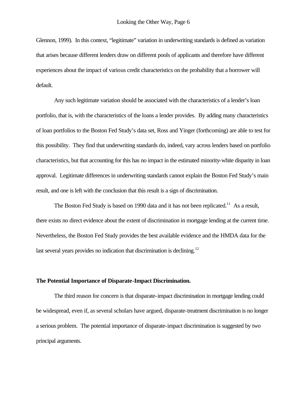Glennon, 1999). In this context, "legitimate" variation in underwriting standards is defined as variation that arises because different lenders draw on different pools of applicants and therefore have different experiences about the impact of various credit characteristics on the probability that a borrower will default.

Any such legitimate variation should be associated with the characteristics of a lender's loan portfolio, that is, with the characteristics of the loans a lender provides. By adding many characteristics of loan portfolios to the Boston Fed Study's data set, Ross and Yinger (forthcoming) are able to test for this possibility. They find that underwriting standards do, indeed, vary across lenders based on portfolio characteristics, but that accounting for this has no impact in the estimated minority-white disparity in loan approval. Legitimate differences in underwriting standards cannot explain the Boston Fed Study's main result, and one is left with the conclusion that this result is a sign of discrimination.

The Boston Fed Study is based on 1990 data and it has not been replicated.<sup>11</sup> As a result, there exists no direct evidence about the extent of discrimination in mortgage lending at the current time. Nevertheless, the Boston Fed Study provides the best available evidence and the HMDA data for the last several years provides no indication that discrimination is declining.<sup>12</sup>

## **The Potential Importance of Disparate-Impact Discrimination.**

The third reason for concern is that disparate-impact discrimination in mortgage lending could be widespread, even if, as several scholars have argued, disparate-treatment discrimination is no longer a serious problem. The potential importance of disparate-impact discrimination is suggested by two principal arguments.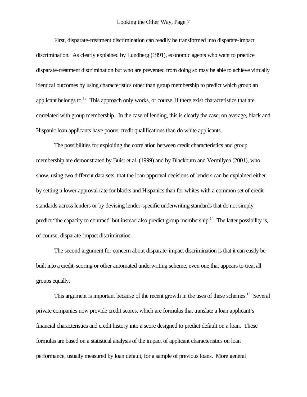First, disparate-treatment discrimination can readily be transformed into disparate-impact discrimination. As clearly explained by Lundberg (1991), economic agents who want to practice disparate-treatment discrimination but who are prevented from doing so may be able to achieve virtually identical outcomes by using characteristics other than group membership to predict which group an applicant belongs to.<sup>13</sup> This approach only works, of course, if there exist characteristics that are correlated with group membership. In the case of lending, this is clearly the case; on average, black and Hispanic loan applicants have poorer credit qualifications than do white applicants.

The possibilities for exploiting the correlation between credit characteristics and group membership are demonstrated by Buist et al. (1999) and by Blackburn and Vermilyea (2001), who show, using two different data sets, that the loan-approval decisions of lenders can be explained either by setting a lower approval rate for blacks and Hispanics than for whites with a common set of credit standards across lenders or by devising lender-specific underwriting standards that do not simply predict "the capacity to contract" but instead also predict group membership.<sup>14</sup> The latter possibility is, of course, disparate-impact discrimination.

The second argument for concern about disparate-impact discrimination is that it can easily be built into a credit-scoring or other automated underwriting scheme, even one that appears to treat all groups equally.

This argument is important because of the recent growth in the uses of these schemes.<sup>15</sup> Several private companies now provide credit scores, which are formulas that translate a loan applicant's financial characteristics and credit history into a score designed to predict default on a loan. These formulas are based on a statistical analysis of the impact of applicant characteristics on loan performance, usually measured by loan default, for a sample of previous loans. More general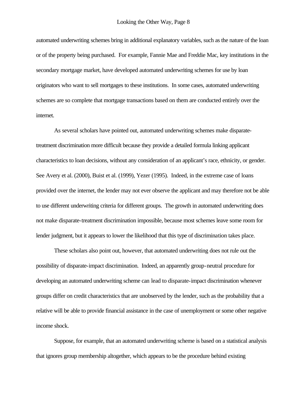automated underwriting schemes bring in additional explanatory variables, such as the nature of the loan or of the property being purchased. For example, Fannie Mae and Freddie Mac, key institutions in the secondary mortgage market, have developed automated underwriting schemes for use by loan originators who want to sell mortgages to these institutions. In some cases, automated underwriting schemes are so complete that mortgage transactions based on them are conducted entirely over the internet.

As several scholars have pointed out, automated underwriting schemes make disparatetreatment discrimination more difficult because they provide a detailed formula linking applicant characteristics to loan decisions, without any consideration of an applicant's race, ethnicity, or gender. See Avery et al. (2000), Buist et al. (1999), Yezer (1995). Indeed, in the extreme case of loans provided over the internet, the lender may not ever observe the applicant and may therefore not be able to use different underwriting criteria for different groups. The growth in automated underwriting does not make disparate-treatment discrimination impossible, because most schemes leave some room for lender judgment, but it appears to lower the likelihood that this type of discrimination takes place.

These scholars also point out, however, that automated underwriting does not rule out the possibility of disparate-impact discrimination. Indeed, an apparently group-neutral procedure for developing an automated underwriting scheme can lead to disparate-impact discrimination whenever groups differ on credit characteristics that are unobserved by the lender, such as the probability that a relative will be able to provide financial assistance in the case of unemployment or some other negative income shock.

Suppose, for example, that an automated underwriting scheme is based on a statistical analysis that ignores group membership altogether, which appears to be the procedure behind existing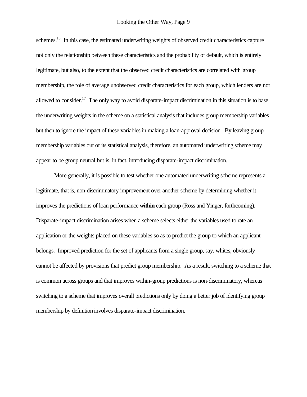schemes.<sup>16</sup> In this case, the estimated underwriting weights of observed credit characteristics capture not only the relationship between these characteristics and the probability of default, which is entirely legitimate, but also, to the extent that the observed credit characteristics are correlated with group membership, the role of average unobserved credit characteristics for each group, which lenders are not allowed to consider.<sup>17</sup> The only way to avoid disparate-impact discrimination in this situation is to base the underwriting weights in the scheme on a statistical analysis that includes group membership variables but then to ignore the impact of these variables in making a loan-approval decision. By leaving group membership variables out of its statistical analysis, therefore, an automated underwriting scheme may appear to be group neutral but is, in fact, introducing disparate-impact discrimination.

More generally, it is possible to test whether one automated underwriting scheme represents a legitimate, that is, non-discriminatory improvement over another scheme by determining whether it improves the predictions of loan performance **within** each group (Ross and Yinger, forthcoming). Disparate-impact discrimination arises when a scheme selects either the variables used to rate an application or the weights placed on these variables so as to predict the group to which an applicant belongs. Improved prediction for the set of applicants from a single group, say, whites, obviously cannot be affected by provisions that predict group membership. As a result, switching to a scheme that is common across groups and that improves within-group predictions is non-discriminatory, whereas switching to a scheme that improves overall predictions only by doing a better job of identifying group membership by definition involves disparate-impact discrimination.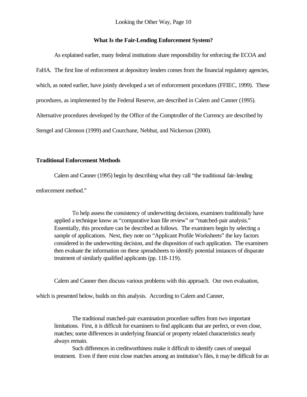Looking the Other Way, Page 10

# **What Is the Fair-Lending Enforcement System?**

As explained earlier, many federal institutions share responsibility for enforcing the ECOA and FaHA. The first line of enforcement at depository lenders comes from the financial regulatory agencies, which, as noted earlier, have jointly developed a set of enforcement procedures (FFIEC, 1999). These procedures, as implemented by the Federal Reserve, are described in Calem and Canner (1995). Alternative procedures developed by the Office of the Comptroller of the Currency are described by Stengel and Glennon (1999) and Courchane, Nebhut, and Nickerson (2000).

# **Traditional Enforcement Methods**

Calem and Canner (1995) begin by describing what they call "the traditional fair-lending

enforcement method."

To help assess the consistency of underwriting decisions, examiners traditionally have applied a technique know as "comparative loan file review" or "matched-pair analysis." Essentially, this procedure can be described as follows. The examiners begin by selecting a sample of applications. Next, they note on "Applicant Profile Worksheets" the key factors considered in the underwriting decision, and the disposition of each application. The examiners then evaluate the information on these spreadsheets to identify potential instances of disparate treatment of similarly qualified applicants (pp. 118-119).

Calem and Canner then discuss various problems with this approach. Our own evaluation,

which is presented below, builds on this analysis. According to Calem and Canner,

The traditional matched-pair examination procedure suffers from two important limitations. First, it is difficult for examiners to find applicants that are perfect, or even close, matches; some differences in underlying financial or property related characteristics nearly always remain.

Such differences in creditworthiness make it difficult to identify cases of unequal treatment. Even if there exist close matches among an institution's files, it may be difficult for an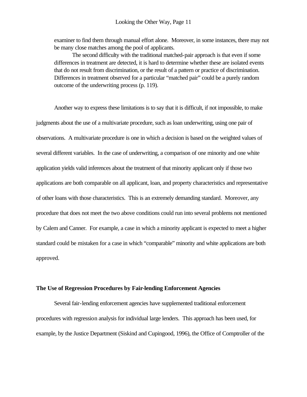examiner to find them through manual effort alone. Moreover, in some instances, there may not be many close matches among the pool of applicants.

The second difficulty with the traditional matched-pair approach is that even if some differences in treatment are detected, it is hard to determine whether these are isolated events that do not result from discrimination, or the result of a pattern or practice of discrimination. Differences in treatment observed for a particular "matched pair" could be a purely random outcome of the underwriting process (p. 119).

Another way to express these limitations is to say that it is difficult, if not impossible, to make judgments about the use of a multivariate procedure, such as loan underwriting, using one pair of observations. A multivariate procedure is one in which a decision is based on the weighted values of several different variables. In the case of underwriting, a comparison of one minority and one white application yields valid inferences about the treatment of that minority applicant only if those two applications are both comparable on all applicant, loan, and property characteristics and representative of other loans with those characteristics. This is an extremely demanding standard. Moreover, any procedure that does not meet the two above conditions could run into several problems not mentioned by Calem and Canner. For example, a case in which a minority applicant is expected to meet a higher standard could be mistaken for a case in which "comparable" minority and white applications are both approved.

#### **The Use of Regression Procedures by Fair-lending Enforcement Agencies**

Several fair-lending enforcement agencies have supplemented traditional enforcement procedures with regression analysis for individual large lenders. This approach has been used, for example, by the Justice Department (Siskind and Cupingood, 1996), the Office of Comptroller of the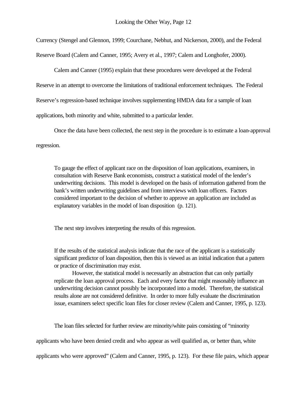Currency (Stengel and Glennon, 1999; Courchane, Nebhut, and Nickerson, 2000), and the Federal Reserve Board (Calem and Canner, 1995; Avery et al., 1997; Calem and Longhofer, 2000).

Calem and Canner (1995) explain that these procedures were developed at the Federal Reserve in an attempt to overcome the limitations of traditional enforcement techniques. The Federal Reserve's regression-based technique involves supplementing HMDA data for a sample of loan applications, both minority and white, submitted to a particular lender.

Once the data have been collected, the next step in the procedure is to estimate a loan-approval regression.

To gauge the effect of applicant race on the disposition of loan applications, examiners, in consultation with Reserve Bank economists, construct a statistical model of the lender's underwriting decisions. This model is developed on the basis of information gathered from the bank's written underwriting guidelines and from interviews with loan officers. Factors considered important to the decision of whether to approve an application are included as explanatory variables in the model of loan disposition (p. 121).

The next step involves interpreting the results of this regression.

If the results of the statistical analysis indicate that the race of the applicant is a statistically significant predictor of loan disposition, then this is viewed as an initial indication that a pattern or practice of discrimination may exist.

However, the statistical model is necessarily an abstraction that can only partially replicate the loan approval process. Each and every factor that might reasonably influence an underwriting decision cannot possibly be incorporated into a model. Therefore, the statistical results alone are not considered definitive. In order to more fully evaluate the discrimination issue, examiners select specific loan files for closer review (Calem and Canner, 1995, p. 123).

The loan files selected for further review are minority/white pairs consisting of "minority

applicants who have been denied credit and who appear as well qualified as, or better than, white

applicants who were approved" (Calem and Canner, 1995, p. 123). For these file pairs, which appear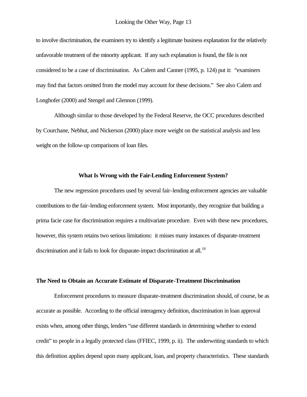to involve discrimination, the examiners try to identify a legitimate business explanation for the relatively unfavorable treatment of the minority applicant. If any such explanation is found, the file is not considered to be a case of discrimination. As Calem and Canner (1995, p. 124) put it: "examiners may find that factors omitted from the model may account for these decisions." See also Calem and Longhofer (2000) and Stengel and Glennon (1999).

Although similar to those developed by the Federal Reserve, the OCC procedures described by Courchane, Nebhut, and Nickerson (2000) place more weight on the statistical analysis and less weight on the follow-up comparisons of loan files.

#### **What Is Wrong with the Fair-Lending Enforcement System?**

The new regression procedures used by several fair-lending enforcement agencies are valuable contributions to the fair-lending enforcement system. Most importantly, they recognize that building a prima facie case for discrimination requires a multivariate procedure. Even with these new procedures, however, this system retains two serious limitations: it misses many instances of disparate-treatment discrimination and it fails to look for disparate-impact discrimination at all.<sup>18</sup>

# **The Need to Obtain an Accurate Estimate of Disparate-Treatment Discrimination**

Enforcement procedures to measure disparate-treatment discrimination should, of course, be as accurate as possible. According to the official interagency definition, discrimination in loan approval exists when, among other things, lenders "use different standards in determining whether to extend credit" to people in a legally protected class (FFIEC, 1999, p. ii). The underwriting standards to which this definition applies depend upon many applicant, loan, and property characteristics. These standards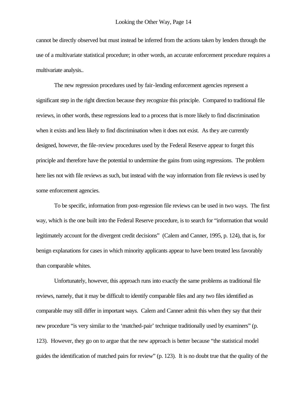cannot be directly observed but must instead be inferred from the actions taken by lenders through the use of a multivariate statistical procedure; in other words, an accurate enforcement procedure requires a multivariate analysis..

The new regression procedures used by fair-lending enforcement agencies represent a significant step in the right direction because they recognize this principle. Compared to traditional file reviews, in other words, these regressions lead to a process that is more likely to find discrimination when it exists and less likely to find discrimination when it does not exist. As they are currently designed, however, the file-review procedures used by the Federal Reserve appear to forget this principle and therefore have the potential to undermine the gains from using regressions. The problem here lies not with file reviews as such, but instead with the way information from file reviews is used by some enforcement agencies.

To be specific, information from post-regression file reviews can be used in two ways. The first way, which is the one built into the Federal Reserve procedure, is to search for "information that would legitimately account for the divergent credit decisions" (Calem and Canner, 1995, p. 124), that is, for benign explanations for cases in which minority applicants appear to have been treated less favorably than comparable whites.

Unfortunately, however, this approach runs into exactly the same problems as traditional file reviews, namely, that it may be difficult to identify comparable files and any two files identified as comparable may still differ in important ways. Calem and Canner admit this when they say that their new procedure "is very similar to the 'matched-pair' technique traditionally used by examiners" (p. 123). However, they go on to argue that the new approach is better because "the statistical model guides the identification of matched pairs for review" (p. 123). It is no doubt true that the quality of the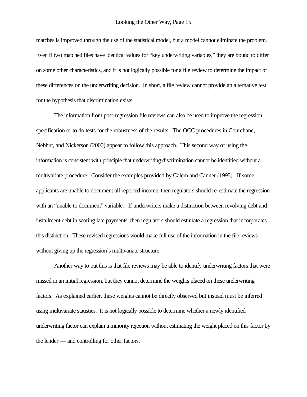matches is improved through the use of the statistical model, but a model cannot eliminate the problem. Even if two matched files have identical values for "key underwriting variables," they are bound to differ on some other characteristics, and it is not logically possible for a file review to determine the impact of these differences on the underwriting decision. In short, a file review cannot provide an alternative test for the hypothesis that discrimination exists.

The information from post-regression file reviews can also be used to improve the regression specification or to do tests for the robustness of the results. The OCC procedures in Courchane, Nebhut, and Nickerson (2000) appear to follow this approach. This second way of using the information is consistent with principle that underwriting discrimination cannot be identified without a multivariate procedure. Consider the examples provided by Calem and Canner (1995). If some applicants are unable to document all reported income, then regulators should re-estimate the regression with an "unable to document" variable. If underwriters make a distinction between revolving debt and installment debt in scoring late payments, then regulators should estimate a regression that incorporates this distinction. These revised regressions would make full use of the information in the file reviews without giving up the regression's multivariate structure.

Another way to put this is that file reviews may be able to identify underwriting factors that were missed in an initial regression, but they cannot determine the weights placed on these underwriting factors. As explained earlier, these weights cannot be directly observed but instead must be inferred using multivariate statistics. It is not logically possible to determine whether a newly identified underwriting factor can explain a minority rejection without estimating the weight placed on this factor by the lender — and controlling for other factors.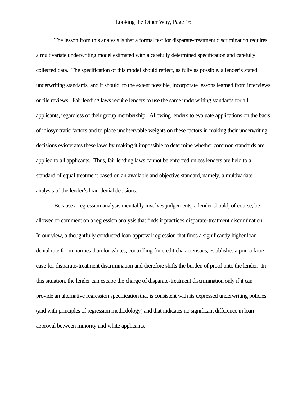The lesson from this analysis is that a formal test for disparate-treatment discrimination requires a multivariate underwriting model estimated with a carefully determined specification and carefully collected data. The specification of this model should reflect, as fully as possible, a lender's stated underwriting standards, and it should, to the extent possible, incorporate lessons learned from interviews or file reviews. Fair lending laws require lenders to use the same underwriting standards for all applicants, regardless of their group membership. Allowing lenders to evaluate applications on the basis of idiosyncratic factors and to place unobservable weights on these factors in making their underwriting decisions eviscerates these laws by making it impossible to determine whether common standards are applied to all applicants. Thus, fair lending laws cannot be enforced unless lenders are held to a standard of equal treatment based on an available and objective standard, namely, a multivariate analysis of the lender's loan-denial decisions.

Because a regression analysis inevitably involves judgements, a lender should, of course, be allowed to comment on a regression analysis that finds it practices disparate-treatment discrimination. In our view, a thoughtfully conducted loan-approval regression that finds a significantly higher loandenial rate for minorities than for whites, controlling for credit characteristics, establishes a prima facie case for disparate-treatment discrimination and therefore shifts the burden of proof onto the lender. In this situation, the lender can escape the charge of disparate-treatment discrimination only if it can provide an alternative regression specification that is consistent with its expressed underwriting policies (and with principles of regression methodology) and that indicates no significant difference in loan approval between minority and white applicants.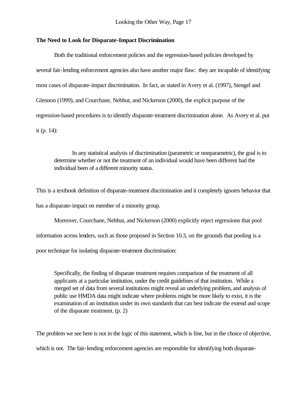# **The Need to Look for Disparate-Impact Discrimination**

Both the traditional enforcement policies and the regression-based policies developed by several fair-lending enforcement agencies also have another major flaw: they are incapable of identifying most cases of disparate-impact discrimination. In fact, as stated in Avery et al. (1997), Stengel and Glennon (1999), and Courchane, Nebhut, and Nickerson (2000), the explicit purpose of the regression-based procedures is to identify disparate-treatment discrimination alone. As Avery et al. put it (p. 14):

In any statistical analysis of discrimination (parametric or nonparametric), the goal is to determine whether or not the treatment of an individual would have been different had the individual been of a different minority status.

This is a textbook definition of disparate-treatment discrimination and it completely ignores behavior that has a disparate-impact on member of a minority group.

Moreover, Courchane, Nebhut, and Nickerson (2000) explicitly reject regressions that pool information across lenders, such as those proposed in Section 10.3, on the grounds that pooling is a poor technique for isolating disparate-treatment discrimination:

Specifically, the finding of disparate treatment requires comparison of the treatment of all applicants at a particular institution, under the credit guidelines of that institution. While a merged set of data from several institutions might reveal an underlying problem, and analysis of public use HMDA data might indicate where problems might be more likely to exist, it is the examination of an institution under its own standards that can best indicate the extend and scope of the disparate treatment. (p. 2)

The problem we see here is not in the logic of this statement, which is fine, but in the choice of objective,

which is not. The fair-lending enforcement agencies are responsible for identifying both disparate-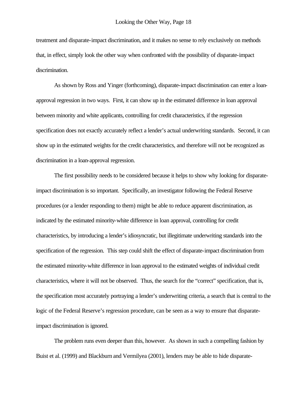treatment and disparate-impact discrimination, and it makes no sense to rely exclusively on methods that, in effect, simply look the other way when confronted with the possibility of disparate-impact discrimination.

As shown by Ross and Yinger (forthcoming), disparate-impact discrimination can enter a loanapproval regression in two ways. First, it can show up in the estimated difference in loan approval between minority and white applicants, controlling for credit characteristics, if the regression specification does not exactly accurately reflect a lender's actual underwriting standards. Second, it can show up in the estimated weights for the credit characteristics, and therefore will not be recognized as discrimination in a loan-approval regression.

The first possibility needs to be considered because it helps to show why looking for disparateimpact discrimination is so important. Specifically, an investigator following the Federal Reserve procedures (or a lender responding to them) might be able to reduce apparent discrimination, as indicated by the estimated minority-white difference in loan approval, controlling for credit characteristics, by introducing a lender's idiosyncratic, but illegitimate underwriting standards into the specification of the regression. This step could shift the effect of disparate-impact discrimination from the estimated minority-white difference in loan approval to the estimated weights of individual credit characteristics, where it will not be observed. Thus, the search for the "correct" specification, that is, the specification most accurately portraying a lender's underwriting criteria, a search that is central to the logic of the Federal Reserve's regression procedure, can be seen as a way to ensure that disparateimpact discrimination is ignored.

The problem runs even deeper than this, however. As shown in such a compelling fashion by Buist et al. (1999) and Blackburn and Vermilyea (2001), lenders may be able to hide disparate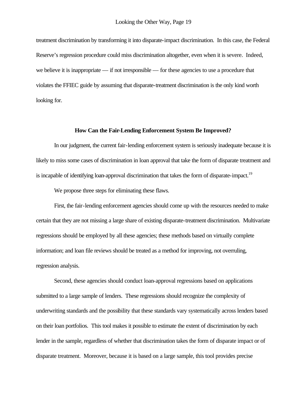treatment discrimination by transforming it into disparate-impact discrimination. In this case, the Federal Reserve's regression procedure could miss discrimination altogether, even when it is severe. Indeed, we believe it is inappropriate — if not irresponsible — for these agencies to use a procedure that violates the FFIEC guide by assuming that disparate-treatment discrimination is the only kind worth looking for.

# **How Can the Fair-Lending Enforcement System Be Improved?**

In our judgment, the current fair-lending enforcement system is seriously inadequate because it is likely to miss some cases of discrimination in loan approval that take the form of disparate treatment and is incapable of identifying loan-approval discrimination that takes the form of disparate-impact.<sup>19</sup>

We propose three steps for eliminating these flaws.

First, the fair-lending enforcement agencies should come up with the resources needed to make certain that they are not missing a large share of existing disparate-treatment discrimination. Multivariate regressions should be employed by all these agencies; these methods based on virtually complete information; and loan file reviews should be treated as a method for improving, not overruling, regression analysis.

Second, these agencies should conduct loan-approval regressions based on applications submitted to a large sample of lenders. These regressions should recognize the complexity of underwriting standards and the possibility that these standards vary systematically across lenders based on their loan portfolios. This tool makes it possible to estimate the extent of discrimination by each lender in the sample, regardless of whether that discrimination takes the form of disparate impact or of disparate treatment. Moreover, because it is based on a large sample, this tool provides precise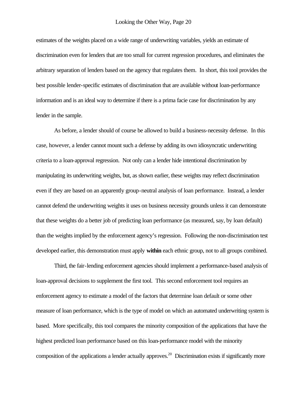estimates of the weights placed on a wide range of underwriting variables, yields an estimate of discrimination even for lenders that are too small for current regression procedures, and eliminates the arbitrary separation of lenders based on the agency that regulates them. In short, this tool provides the best possible lender-specific estimates of discrimination that are available without loan-performance information and is an ideal way to determine if there is a prima facie case for discrimination by any lender in the sample.

As before, a lender should of course be allowed to build a business-necessity defense. In this case, however, a lender cannot mount such a defense by adding its own idiosyncratic underwriting criteria to a loan-approval regression. Not only can a lender hide intentional discrimination by manipulating its underwriting weights, but, as shown earlier, these weights may reflect discrimination even if they are based on an apparently group-neutral analysis of loan performance. Instead, a lender cannot defend the underwriting weights it uses on business necessity grounds unless it can demonstrate that these weights do a better job of predicting loan performance (as measured, say, by loan default) than the weights implied by the enforcement agency's regression. Following the non-discrimination test developed earlier, this demonstration must apply **within** each ethnic group, not to all groups combined.

Third, the fair-lending enforcement agencies should implement a performance-based analysis of loan-approval decisions to supplement the first tool. This second enforcement tool requires an enforcement agency to estimate a model of the factors that determine loan default or some other measure of loan performance, which is the type of model on which an automated underwriting system is based. More specifically, this tool compares the minority composition of the applications that have the highest predicted loan performance based on this loan-performance model with the minority composition of the applications a lender actually approves.<sup>20</sup> Discrimination exists if significantly more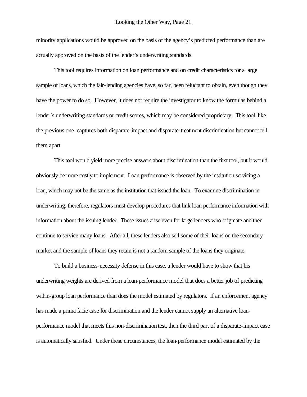minority applications would be approved on the basis of the agency's predicted performance than are actually approved on the basis of the lender's underwriting standards.

This tool requires information on loan performance and on credit characteristics for a large sample of loans, which the fair-lending agencies have, so far, been reluctant to obtain, even though they have the power to do so. However, it does not require the investigator to know the formulas behind a lender's underwriting standards or credit scores, which may be considered proprietary. This tool, like the previous one, captures both disparate-impact and disparate-treatment discrimination but cannot tell them apart.

This tool would yield more precise answers about discrimination than the first tool, but it would obviously be more costly to implement. Loan performance is observed by the institution servicing a loan, which may not be the same as the institution that issued the loan. To examine discrimination in underwriting, therefore, regulators must develop procedures that link loan performance information with information about the issuing lender. These issues arise even for large lenders who originate and then continue to service many loans. After all, these lenders also sell some of their loans on the secondary market and the sample of loans they retain is not a random sample of the loans they originate.

To build a business-necessity defense in this case, a lender would have to show that his underwriting weights are derived from a loan-performance model that does a better job of predicting within-group loan performance than does the model estimated by regulators. If an enforcement agency has made a prima facie case for discrimination and the lender cannot supply an alternative loanperformance model that meets this non-discrimination test, then the third part of a disparate-impact case is automatically satisfied. Under these circumstances, the loan-performance model estimated by the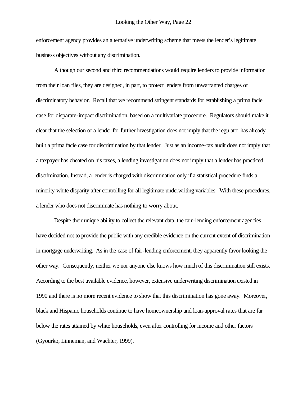enforcement agency provides an alternative underwriting scheme that meets the lender's legitimate business objectives without any discrimination.

Although our second and third recommendations would require lenders to provide information from their loan files, they are designed, in part, to protect lenders from unwarranted charges of discriminatory behavior. Recall that we recommend stringent standards for establishing a prima facie case for disparate-impact discrimination, based on a multivariate procedure. Regulators should make it clear that the selection of a lender for further investigation does not imply that the regulator has already built a prima facie case for discrimination by that lender. Just as an income-tax audit does not imply that a taxpayer has cheated on his taxes, a lending investigation does not imply that a lender has practiced discrimination. Instead, a lender is charged with discrimination only if a statistical procedure finds a minority-white disparity after controlling for all legitimate underwriting variables. With these procedures, a lender who does not discriminate has nothing to worry about.

Despite their unique ability to collect the relevant data, the fair-lending enforcement agencies have decided not to provide the public with any credible evidence on the current extent of discrimination in mortgage underwriting. As in the case of fair-lending enforcement, they apparently favor looking the other way. Consequently, neither we nor anyone else knows how much of this discrimination still exists. According to the best available evidence, however, extensive underwriting discrimination existed in 1990 and there is no more recent evidence to show that this discrimination has gone away. Moreover, black and Hispanic households continue to have homeownership and loan-approval rates that are far below the rates attained by white households, even after controlling for income and other factors (Gyourko, Linneman, and Wachter, 1999).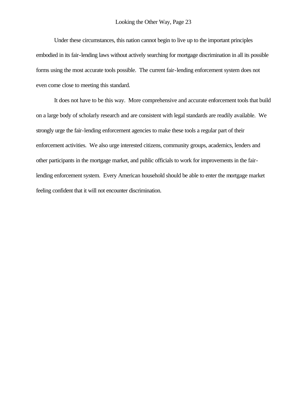Under these circumstances, this nation cannot begin to live up to the important principles embodied in its fair-lending laws without actively searching for mortgage discrimination in all its possible forms using the most accurate tools possible. The current fair-lending enforcement system does not even come close to meeting this standard.

It does not have to be this way. More comprehensive and accurate enforcement tools that build on a large body of scholarly research and are consistent with legal standards are readily available. We strongly urge the fair-lending enforcement agencies to make these tools a regular part of their enforcement activities. We also urge interested citizens, community groups, academics, lenders and other participants in the mortgage market, and public officials to work for improvements in the fairlending enforcement system. Every American household should be able to enter the mortgage market feeling confident that it will not encounter discrimination.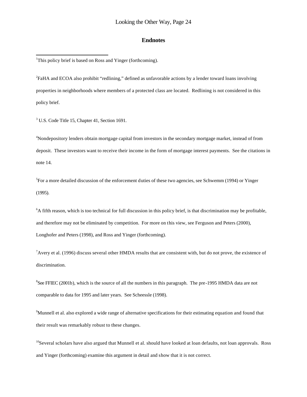## **Endnotes**

<sup>1</sup>This policy brief is based on Ross and Yinger (forthcoming).

<sup>2</sup>FaHA and ECOA also prohibit "redlining," defined as unfavorable actions by a lender toward loans involving properties in neighborhoods where members of a protected class are located. Redlining is not considered in this policy brief.

<sup>3</sup> U.S. Code Title 15, Chapter 41, Section 1691.

l

<sup>4</sup>Nondepository lenders obtain mortgage capital from investors in the secondary mortgage market, instead of from deposit. These investors want to receive their income in the form of mortgage interest payments. See the citations in note 14.

<sup>5</sup>For a more detailed discussion of the enforcement duties of these two agencies, see Schwemm (1994) or Yinger (1995).

<sup>6</sup>A fifth reason, which is too technical for full discussion in this policy brief, is that discrimination may be profitable, and therefore may not be eliminated by competition. For more on this view, see Ferguson and Peters (2000), Longhofer and Peters (1998), and Ross and Yinger (forthcoming).

 $<sup>7</sup>$ Avery et al. (1996) discuss several other HMDA results that are consistent with, but do not prove, the existence of</sup> discrimination.

<sup>8</sup>See FFIEC (2001b), which is the source of all the numbers in this paragraph. The pre-1995 HMDA data are not comparable to data for 1995 and later years. See Scheessle (1998).

<sup>9</sup>Munnell et al. also explored a wide range of alternative specifications for their estimating equation and found that their result was remarkably robust to these changes.

 $10$ Several scholars have also argued that Munnell et al. should have looked at loan defaults, not loan approvals. Ross and Yinger (forthcoming) examine this argument in detail and show that it is not correct.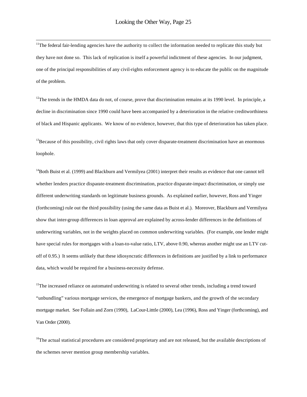l

 $11$ The federal fair-lending agencies have the authority to collect the information needed to replicate this study but they have not done so. This lack of replication is itself a powerful indictment of these agencies. In our judgment, one of the principal responsibilities of any civil-rights enforcement agency is to educate the public on the magnitude of the problem.

<sup>12</sup>The trends in the HMDA data do not, of course, prove that discrimination remains at its 1990 level. In principle, a decline in discrimination since 1990 could have been accompanied by a deterioration in the relative creditworthiness of black and Hispanic applicants. We know of no evidence, however, that this type of deterioration has taken place.

 $13$ Because of this possibility, civil rights laws that only cover disparate-treatment discrimination have an enormous loophole.

 $14$ Both Buist et al. (1999) and Blackburn and Vermilyea (2001) interpret their results as evidence that one cannot tell whether lenders practice disparate-treatment discrimination, practice disparate-impact discrimination, or simply use different underwriting standards on legitimate business grounds. As explained earlier, however, Ross and Yinger (forthcoming) rule out the third possibility (using the same data as Buist et al.). Moreover, Blackburn and Vermilyea show that inter-group differences in loan approval are explained by across-lender differences in the definitions of underwriting variables, not in the weights placed on common underwriting variables. (For example, one lender might have special rules for mortgages with a loan-to-value ratio, LTV, above 0.90, whereas another might use an LTV cutoff of 0.95.) It seems unlikely that these idiosyncratic differences in definitions are justified by a link to performance data, which would be required for a business-necessity defense.

 $15$ The increased reliance on automated underwriting is related to several other trends, including a trend toward "unbundling" various mortgage services, the emergence of mortgage bankers, and the growth of the secondary mortgage market. See Follain and Zorn (1990), LaCour-Litttle (2000), Lea (1996), Ross and Yinger (forthcoming), and Van Order (2000).

 $16$ The actual statistical procedures are considered proprietary and are not released, but the available descriptions of the schemes never mention group membership variables.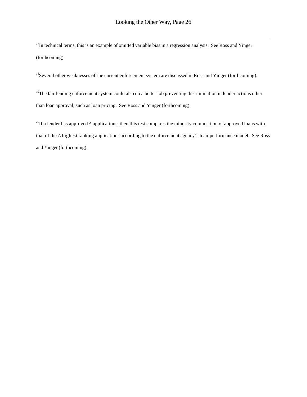$17$ In technical terms, this is an example of omitted variable bias in a regression analysis. See Ross and Yinger (forthcoming).

l

<sup>18</sup>Several other weaknesses of the current enforcement system are discussed in Ross and Yinger (forthcoming).

<sup>19</sup>The fair-lending enforcement system could also do a better job preventing discrimination in lender actions other than loan approval, such as loan pricing. See Ross and Yinger (forthcoming).

<sup>20</sup>If a lender has approved *A* applications, then this test compares the minority composition of approved loans with that of the *A* highest-ranking applications according to the enforcement agency's loan-performance model. See Ross and Yinger (forthcoming).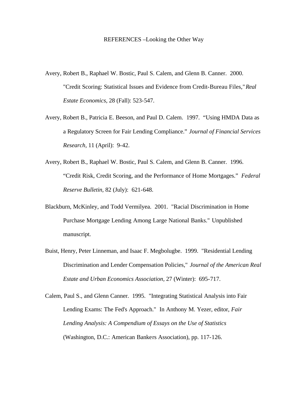## REFERENCES –Looking the Other Way

- Avery, Robert B., Raphael W. Bostic, Paul S. Calem, and Glenn B. Canner. 2000. "Credit Scoring: Statistical Issues and Evidence from Credit-Bureau Files," *Real Estate Economics,* 28 (Fall): 523-547.
- Avery, Robert B., Patricia E. Beeson, and Paul D. Calem. 1997. "Using HMDA Data as a Regulatory Screen for Fair Lending Compliance." *Journal of Financial Services Research,* 11 (April): 9-42.
- Avery, Robert B., Raphael W. Bostic, Paul S. Calem, and Glenn B. Canner. 1996. "Credit Risk, Credit Scoring, and the Performance of Home Mortgages." *Federal Reserve Bulletin,* 82 (July): 621-648.
- Blackburn, McKinley, and Todd Vermilyea. 2001. "Racial Discrimination in Home Purchase Mortgage Lending Among Large National Banks." Unpublished manuscript.
- Buist, Henry, Peter Linneman, and Isaac F. Megbolugbe. 1999. "Residential Lending Discrimination and Lender Compensation Policies," *Journal of the American Real Estate and Urban Economics Association,* 27 (Winter): 695-717.
- Calem, Paul S., and Glenn Canner. 1995. "Integrating Statistical Analysis into Fair Lending Exams: The Fed's Approach." In Anthony M. Yezer, editor, *Fair Lending Analysis: A Compendium of Essays on the Use of Statistics*  (Washington, D.C.: American Bankers Association), pp. 117-126.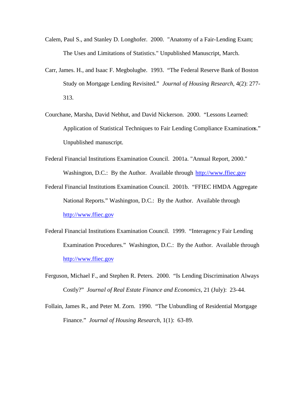- Calem, Paul S., and Stanley D. Longhofer. 2000. "Anatomy of a Fair-Lending Exam; The Uses and Limitations of Statistics." Unpublished Manuscript, March.
- Carr, James. H., and Isaac F. Megbolugbe. 1993. "The Federal Reserve Bank of Boston Study on Mortgage Lending Revisited." *Journal of Housing Research,* 4(2): 277- 313.
- Courchane, Marsha, David Nebhut, and David Nickerson. 2000. "Lessons Learned: Application of Statistical Techniques to Fair Lending Compliance Examinations." Unpublished manuscript.
- Federal Financial Institutions Examination Council. 2001a. "Annual Report, 2000." Washington, D.C.: By the Author. Available through http://www.ffiec.gov
- Federal Financial Institutions Examination Council. 2001b. "FFIEC HMDA Aggregate National Reports." Washington, D.C.: By the Author. Available through http://www.ffiec.gov
- Federal Financial Institutions Examination Council. 1999. "Interagency Fair Lending Examination Procedures." Washington, D.C.: By the Author. Available through http://www.ffiec.gov
- Ferguson, Michael F., and Stephen R. Peters. 2000. "Is Lending Discrimination Always Costly?" *Journal of Real Estate Finance and Economics,* 21 (July): 23-44.
- Follain, James R., and Peter M. Zorn. 1990. "The Unbundling of Residential Mortgage Finance." *Journal of Housing Research,* 1(1): 63-89.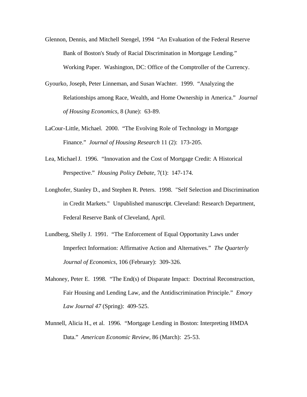- Glennon, Dennis, and Mitchell Stengel, 1994 "An Evaluation of the Federal Reserve Bank of Boston's Study of Racial Discrimination in Mortgage Lending." Working Paper. Washington, DC: Office of the Comptroller of the Currency.
- Gyourko, Joseph, Peter Linneman, and Susan Wachter. 1999. "Analyzing the Relationships among Race, Wealth, and Home Ownership in America." *Journal of Housing Economics,* 8 (June): 63-89.
- LaCour-Little, Michael. 2000. "The Evolving Role of Technology in Mortgage Finance." *Journal of Housing Research* 11 (2): 173-205.
- Lea, Michael J. 1996. "Innovation and the Cost of Mortgage Credit: A Historical Perspective." *Housing Policy Debate,* 7(1): 147-174.
- Longhofer, Stanley D., and Stephen R. Peters. 1998. "Self Selection and Discrimination in Credit Markets." Unpublished manuscript. Cleveland: Research Department, Federal Reserve Bank of Cleveland, April.
- Lundberg, Shelly J. 1991. "The Enforcement of Equal Opportunity Laws under Imperfect Information: Affirmative Action and Alternatives." *The Quarterly Journal of Economics,* 106 (February): 309-326.
- Mahoney, Peter E. 1998. "The End(s) of Disparate Impact: Doctrinal Reconstruction, Fair Housing and Lending Law, and the Antidiscrimination Principle." *Emory Law Journal 47* (Spring): 409-525.
- Munnell, Alicia H., et al. 1996. "Mortgage Lending in Boston: Interpreting HMDA Data." *American Economic Review,* 86 (March): 25-53.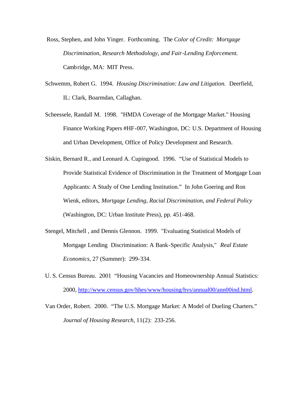- Ross, Stephen, and John Yinger. Forthcoming. The *Color of Credit: Mortgage Discrimination, Research Methodology, and Fair-Lending Enforcement.*  Cambridge, MA: MIT Press.
- Schwemm, Robert G. 1994. *Housing Discrimination: Law and Litigation.* Deerfield, IL: Clark, Boarmdan, Callaghan.
- Scheessele, Randall M. 1998. "HMDA Coverage of the Mortgage Market." Housing Finance Working Papers #HF-007, Washington, DC: U.S. Department of Housing and Urban Development, Office of Policy Development and Research.
- Siskin, Bernard R., and Leonard A. Cupingood. 1996. "Use of Statistical Models to Provide Statistical Evidence of Discrimination in the Treatment of Mortgage Loan Applicants: A Study of One Lending Institution." In John Goering and Ron Wienk, editors, *Mortgage Lending, Racial Discrimination, and Federal Policy*  (Washington, DC: Urban Institute Press), pp. 451-468.
- Stengel, Mitchell , and Dennis Glennon. 1999. "Evaluating Statistical Models of Mortgage Lending Discrimination: A Bank-Specific Analysis," *Real Estate Economics,* 27 (Summer): 299-334.
- U. S. Census Bureau. 2001 "Housing Vacancies and Homeownership Annual Statistics: 2000, http://www.census.gov/hhes/www/housing/hvs/annual00/ann00ind.html.
- Van Order, Robert. 2000. "The U.S. Mortgage Market: A Model of Dueling Charters." *Journal of Housing Research,* 11(2): 233-256.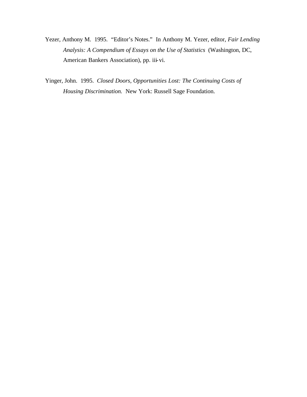- Yezer, Anthony M. 1995. "Editor's Notes." In Anthony M. Yezer, editor, *Fair Lending Analysis: A Compendium of Essays on the Use of Statistics* (Washington, DC, American Bankers Association), pp. iii-vi.
- Yinger, John. 1995. *Closed Doors, Opportunities Lost: The Continuing Costs of Housing Discrimination.* New York: Russell Sage Foundation.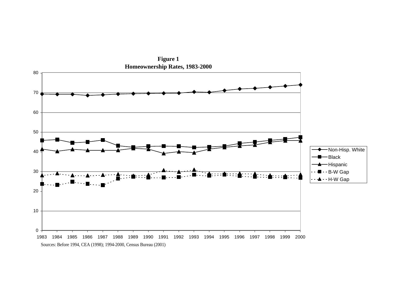

**Figure 1 Homeownership Rates, 1983-2000**